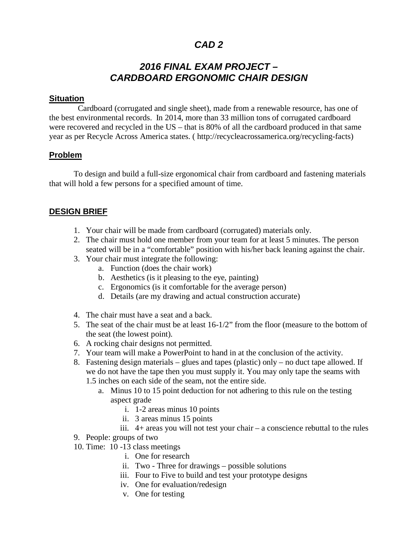# *CAD 2*

# *2016 FINAL EXAM PROJECT – CARDBOARD ERGONOMIC CHAIR DESIGN*

### **Situation**

 Cardboard (corrugated and single sheet), made from a renewable resource, has one of the best environmental records. In 2014, more than 33 million tons of corrugated cardboard were recovered and recycled in the US – that is 80% of all the cardboard produced in that same year as per Recycle Across America states. ( http://recycleacrossamerica.org/recycling-facts)

### **Problem**

To design and build a full-size ergonomical chair from cardboard and fastening materials that will hold a few persons for a specified amount of time.

### **DESIGN BRIEF**

- 1. Your chair will be made from cardboard (corrugated) materials only.
- 2. The chair must hold one member from your team for at least 5 minutes. The person seated will be in a "comfortable" position with his/her back leaning against the chair.
- 3. Your chair must integrate the following:
	- a. Function (does the chair work)
	- b. Aesthetics (is it pleasing to the eye, painting)
	- c. Ergonomics (is it comfortable for the average person)
	- d. Details (are my drawing and actual construction accurate)
- 4. The chair must have a seat and a back.
- 5. The seat of the chair must be at least 16-1/2" from the floor (measure to the bottom of the seat (the lowest point).
- 6. A rocking chair designs not permitted.
- 7. Your team will make a PowerPoint to hand in at the conclusion of the activity.
- 8. Fastening design materials glues and tapes (plastic) only no duct tape allowed. If we do not have the tape then you must supply it. You may only tape the seams with 1.5 inches on each side of the seam, not the entire side.
	- a. Minus 10 to 15 point deduction for not adhering to this rule on the testing aspect grade
		- i. 1-2 areas minus 10 points
		- ii. 3 areas minus 15 points
		- iii. 4+ areas you will not test your chair a conscience rebuttal to the rules
- 9. People: groups of two
- 10. Time: 10 -13 class meetings
	- i. One for research
	- ii. Two Three for drawings possible solutions
	- iii. Four to Five to build and test your prototype designs
	- iv. One for evaluation/redesign
	- v. One for testing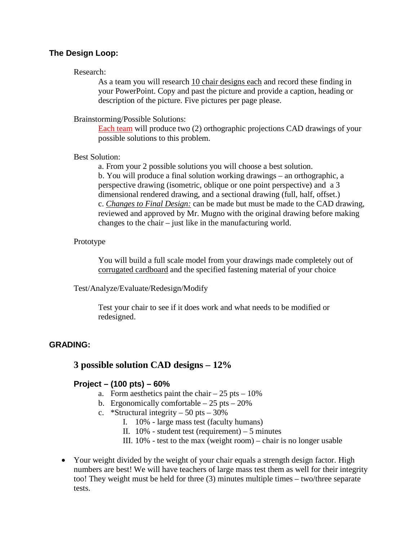## **The Design Loop:**

#### Research:

As a team you will research 10 chair designs each and record these finding in your PowerPoint. Copy and past the picture and provide a caption, heading or description of the picture. Five pictures per page please.

#### Brainstorming/Possible Solutions:

Each team will produce two (2) orthographic projections CAD drawings of your possible solutions to this problem.

#### Best Solution:

a. From your 2 possible solutions you will choose a best solution. b. You will produce a final solution working drawings – an orthographic, a perspective drawing (isometric, oblique or one point perspective) and a 3 dimensional rendered drawing, and a sectional drawing (full, half, offset.) c. *Changes to Final Design:* can be made but must be made to the CAD drawing, reviewed and approved by Mr. Mugno with the original drawing before making changes to the chair – just like in the manufacturing world.

#### Prototype

You will build a full scale model from your drawings made completely out of corrugated cardboard and the specified fastening material of your choice

Test/Analyze/Evaluate/Redesign/Modify

Test your chair to see if it does work and what needs to be modified or redesigned.

#### **GRADING:**

### **3 possible solution CAD designs – 12%**

#### **Project – (100 pts) – 60%**

- a. Form aesthetics paint the chair  $-25$  pts  $-10\%$
- b. Ergonomically comfortable  $-25$  pts  $-20\%$
- c. \*Structural integrity 50 pts  $30\%$ 
	- I. 10% large mass test (faculty humans)
	- II.  $10\%$  student test (requirement) 5 minutes
	- III.  $10\%$  test to the max (weight room) chair is no longer usable
- Your weight divided by the weight of your chair equals a strength design factor. High numbers are best! We will have teachers of large mass test them as well for their integrity too! They weight must be held for three (3) minutes multiple times – two/three separate tests.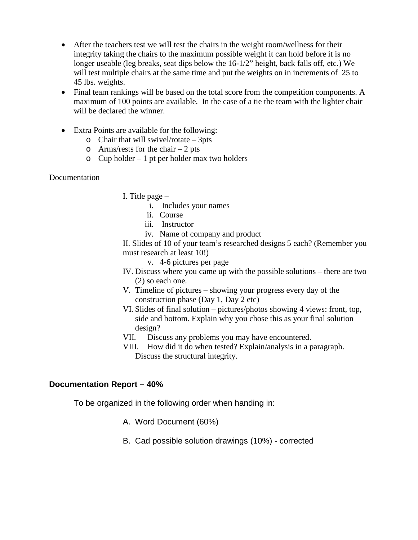- After the teachers test we will test the chairs in the weight room/wellness for their integrity taking the chairs to the maximum possible weight it can hold before it is no longer useable (leg breaks, seat dips below the 16-1/2" height, back falls off, etc.) We will test multiple chairs at the same time and put the weights on in increments of 25 to 45 lbs. weights.
- Final team rankings will be based on the total score from the competition components. A maximum of 100 points are available. In the case of a tie the team with the lighter chair will be declared the winner.
- Extra Points are available for the following:
	- $\circ$  Chair that will swivel/rotate 3pts
	- $\circ$  Arms/rests for the chair 2 pts
	- $\circ$  Cup holder 1 pt per holder max two holders

#### Documentation

- I. Title page
	- i. Includes your names
	- ii. Course
	- iii. Instructor
	- iv. Name of company and product

II. Slides of 10 of your team's researched designs 5 each? (Remember you must research at least 10!)

- v. 4-6 pictures per page
- IV. Discuss where you came up with the possible solutions there are two (2) so each one.
- V. Timeline of pictures showing your progress every day of the construction phase (Day 1, Day 2 etc)
- VI. Slides of final solution pictures/photos showing 4 views: front, top, side and bottom. Explain why you chose this as your final solution design?
- VII. Discuss any problems you may have encountered.
- VIII. How did it do when tested? Explain/analysis in a paragraph. Discuss the structural integrity.

#### **Documentation Report – 40%**

To be organized in the following order when handing in:

- A. Word Document (60%)
- B. Cad possible solution drawings (10%) corrected